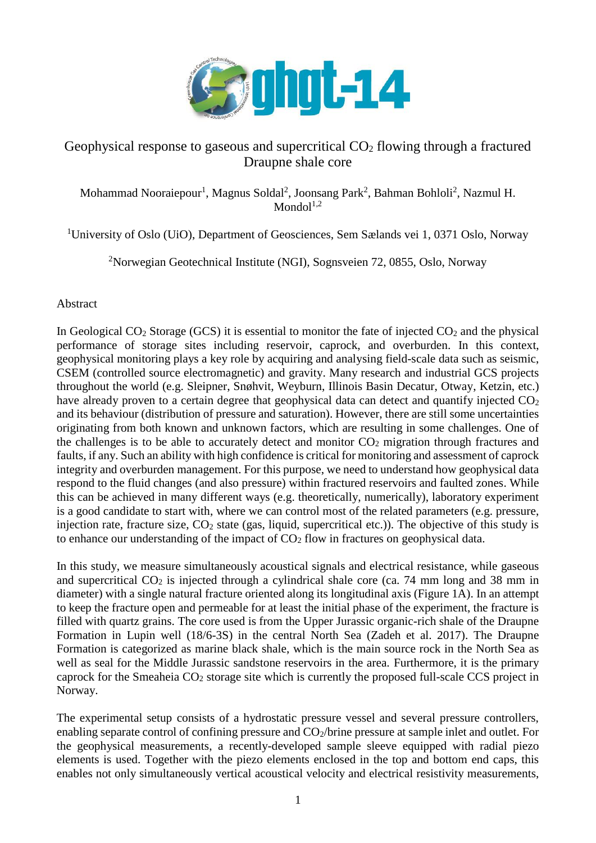

## Geophysical response to gaseous and supercritical  $CO<sub>2</sub>$  flowing through a fractured Draupne shale core

Mohammad Nooraiepour<sup>1</sup>, Magnus Soldal<sup>2</sup>, Joonsang Park<sup>2</sup>, Bahman Bohloli<sup>2</sup>, Nazmul H.  $Mondol<sup>1,2</sup>$ 

<sup>1</sup>University of Oslo (UiO), Department of Geosciences, Sem Sælands vei 1, 0371 Oslo, Norway

<sup>2</sup>Norwegian Geotechnical Institute (NGI), Sognsveien 72, 0855, Oslo, Norway

## Abstract

In Geological  $CO_2$  Storage (GCS) it is essential to monitor the fate of injected  $CO_2$  and the physical performance of storage sites including reservoir, caprock, and overburden. In this context, geophysical monitoring plays a key role by acquiring and analysing field-scale data such as seismic, CSEM (controlled source electromagnetic) and gravity. Many research and industrial GCS projects throughout the world (e.g. Sleipner, Snøhvit, Weyburn, Illinois Basin Decatur, Otway, Ketzin, etc.) have already proven to a certain degree that geophysical data can detect and quantify injected  $CO<sub>2</sub>$ and its behaviour (distribution of pressure and saturation). However, there are still some uncertainties originating from both known and unknown factors, which are resulting in some challenges. One of the challenges is to be able to accurately detect and monitor  $CO<sub>2</sub>$  migration through fractures and faults, if any. Such an ability with high confidence is critical for monitoring and assessment of caprock integrity and overburden management. For this purpose, we need to understand how geophysical data respond to the fluid changes (and also pressure) within fractured reservoirs and faulted zones. While this can be achieved in many different ways (e.g. theoretically, numerically), laboratory experiment is a good candidate to start with, where we can control most of the related parameters (e.g. pressure, injection rate, fracture size,  $CO<sub>2</sub>$  state (gas, liquid, supercritical etc.)). The objective of this study is to enhance our understanding of the impact of  $CO<sub>2</sub>$  flow in fractures on geophysical data.

In this study, we measure simultaneously acoustical signals and electrical resistance, while gaseous and supercritical  $CO<sub>2</sub>$  is injected through a cylindrical shale core (ca. 74 mm long and 38 mm in diameter) with a single natural fracture oriented along its longitudinal axis (Figure 1A). In an attempt to keep the fracture open and permeable for at least the initial phase of the experiment, the fracture is filled with quartz grains. The core used is from the Upper Jurassic organic-rich shale of the Draupne Formation in Lupin well (18/6-3S) in the central North Sea (Zadeh et al. 2017). The Draupne Formation is categorized as marine black shale, which is the main source rock in the North Sea as well as seal for the Middle Jurassic sandstone reservoirs in the area. Furthermore, it is the primary caprock for the Smeaheia CO<sup>2</sup> storage site which is currently the proposed full-scale CCS project in Norway.

The experimental setup consists of a hydrostatic pressure vessel and several pressure controllers, enabling separate control of confining pressure and CO2/brine pressure at sample inlet and outlet. For the geophysical measurements, a recently-developed sample sleeve equipped with radial piezo elements is used. Together with the piezo elements enclosed in the top and bottom end caps, this enables not only simultaneously vertical acoustical velocity and electrical resistivity measurements,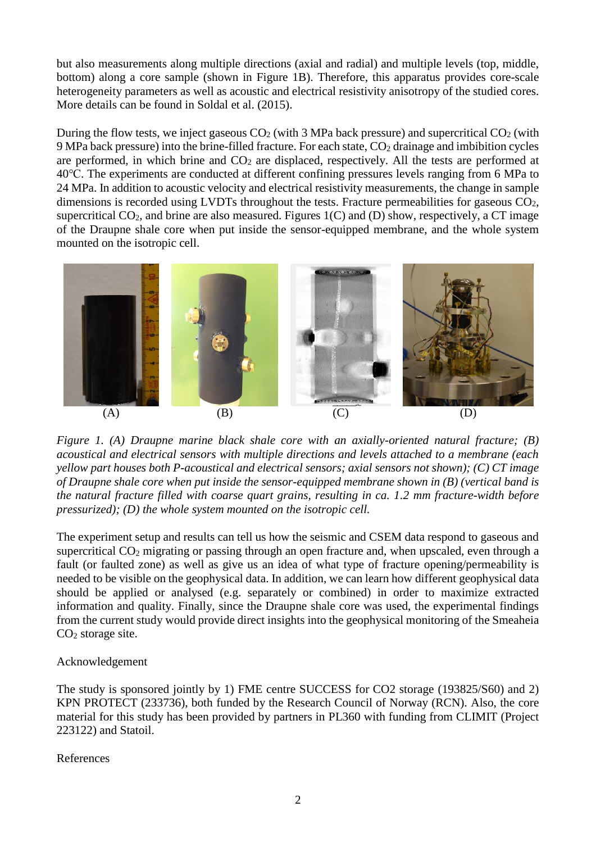but also measurements along multiple directions (axial and radial) and multiple levels (top, middle, bottom) along a core sample (shown in Figure 1B). Therefore, this apparatus provides core-scale heterogeneity parameters as well as acoustic and electrical resistivity anisotropy of the studied cores. More details can be found in Soldal et al. (2015).

During the flow tests, we inject gaseous  $CO<sub>2</sub>$  (with 3 MPa back pressure) and supercritical  $CO<sub>2</sub>$  (with 9 MPa back pressure) into the brine-filled fracture. For each state, CO<sup>2</sup> drainage and imbibition cycles are performed, in which brine and  $CO<sub>2</sub>$  are displaced, respectively. All the tests are performed at 40℃. The experiments are conducted at different confining pressures levels ranging from 6 MPa to 24 MPa. In addition to acoustic velocity and electrical resistivity measurements, the change in sample dimensions is recorded using LVDTs throughout the tests. Fracture permeabilities for gaseous CO2, supercritical  $CO_2$ , and brine are also measured. Figures 1(C) and (D) show, respectively, a CT image of the Draupne shale core when put inside the sensor-equipped membrane, and the whole system mounted on the isotropic cell.



*Figure 1. (A) Draupne marine black shale core with an axially-oriented natural fracture; (B) acoustical and electrical sensors with multiple directions and levels attached to a membrane (each yellow part houses both P-acoustical and electrical sensors; axial sensors not shown); (C) CT image of Draupne shale core when put inside the sensor-equipped membrane shown in (B) (vertical band is the natural fracture filled with coarse quart grains, resulting in ca. 1.2 mm fracture-width before pressurized); (D) the whole system mounted on the isotropic cell.*

The experiment setup and results can tell us how the seismic and CSEM data respond to gaseous and supercritical CO<sub>2</sub> migrating or passing through an open fracture and, when upscaled, even through a fault (or faulted zone) as well as give us an idea of what type of fracture opening/permeability is needed to be visible on the geophysical data. In addition, we can learn how different geophysical data should be applied or analysed (e.g. separately or combined) in order to maximize extracted information and quality. Finally, since the Draupne shale core was used, the experimental findings from the current study would provide direct insights into the geophysical monitoring of the Smeaheia  $CO<sub>2</sub>$  storage site.

## Acknowledgement

The study is sponsored jointly by 1) FME centre SUCCESS for CO2 storage (193825/S60) and 2) KPN PROTECT (233736), both funded by the Research Council of Norway (RCN). Also, the core material for this study has been provided by partners in PL360 with funding from CLIMIT (Project 223122) and Statoil.

## References